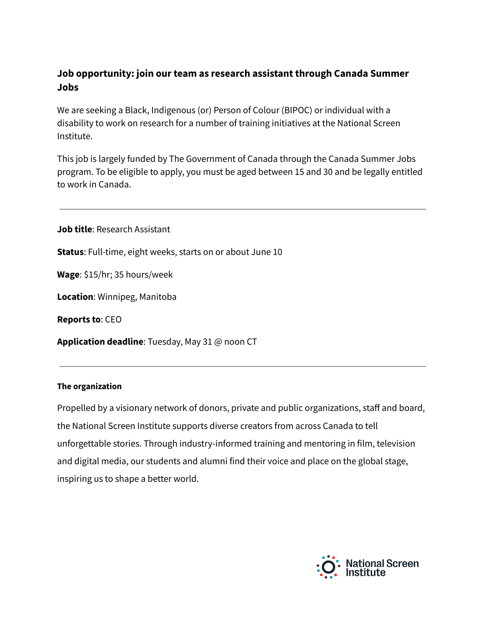# **Job opportunity: join our team as research assistant through Canada Summer Jobs**

We are seeking a Black, Indigenous (or) Person of Colour (BIPOC) or individual with a disability to work on research for a number of training initiatives at the National Screen Institute.

This job is largely funded by The Government of Canada through the Canada Summer Jobs program. To be eligible to apply, you must be aged between 15 and 30 and be legally entitled to work in Canada.

**Job title**: Research Assistant

**Status**: Full-time, eight weeks, starts on or about June 10

**Wage**: \$15/hr; 35 hours/week

**Location**: Winnipeg, Manitoba

**Reports to**: CEO

**Application deadline**: Tuesday, May 31 @ noon CT

#### **The organization**

Propelled by a visionary network of donors, private and public organizations, staff and board, the National Screen Institute supports diverse creators from across Canada to tell unforgettable stories. Through industry-informed training and mentoring in film, television and digital media, our students and alumni find their voice and place on the global stage, inspiring us to shape a better world.

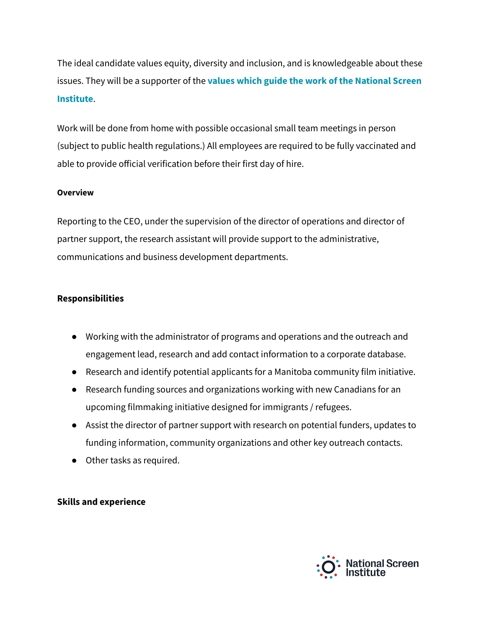The ideal candidate values equity, diversity and inclusion, and is knowledgeable about these issues. They will be a supporter of the **values which guide the work of the [National](https://nsi-canada.ca/about/) Screen [Institute](https://nsi-canada.ca/about/)**.

Work will be done from home with possible occasional small team meetings in person (subject to public health regulations.) All employees are required to be fully vaccinated and able to provide official verification before their first day of hire.

#### **Overview**

Reporting to the CEO, under the supervision of the director of operations and director of partner support, the research assistant will provide support to the administrative, communications and business development departments.

## **Responsibilities**

- Working with the administrator of programs and operations and the outreach and engagement lead, research and add contact information to a corporate database.
- Research and identify potential applicants for a Manitoba community film initiative.
- Research funding sources and organizations working with new Canadians for an upcoming filmmaking initiative designed for immigrants / refugees.
- Assist the director of partner support with research on potential funders, updates to funding information, community organizations and other key outreach contacts.
- Other tasks as required.

### **Skills and experience**